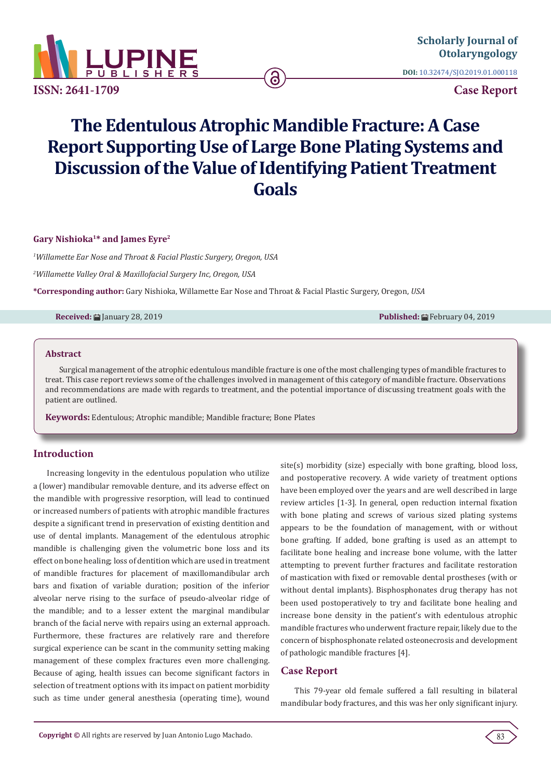

**ISSN: 2641-1709**

**DOI:** [10.32474/SJO.2019.01.000118](http://dx.doi.org/10.32474/SJO.2019.01.000118)

**Case Report**

# **The Edentulous Atrophic Mandible Fracture: A Case Report Supporting Use of Large Bone Plating Systems and Discussion of the Value of Identifying Patient Treatment Goals**

ခ

**Gary Nishioka1\* and James Eyre2**

*1 Willamette Ear Nose and Throat & Facial Plastic Surgery, Oregon, USA*

*2 Willamette Valley Oral & Maxillofacial Surgery Inc, Oregon, USA*

**\*Corresponding author:** Gary Nishioka, Willamette Ear Nose and Throat & Facial Plastic Surgery, Oregon, *USA*

**Received:** ■ January 28, 2019 **Published: ■ February 04, 2019 Published: ■ February 04, 2019** 

#### **Abstract**

Surgical management of the atrophic edentulous mandible fracture is one of the most challenging types of mandible fractures to treat. This case report reviews some of the challenges involved in management of this category of mandible fracture. Observations and recommendations are made with regards to treatment, and the potential importance of discussing treatment goals with the patient are outlined.

**Keywords:** Edentulous; Atrophic mandible; Mandible fracture; Bone Plates

# **Introduction**

Increasing longevity in the edentulous population who utilize a (lower) mandibular removable denture, and its adverse effect on the mandible with progressive resorption, will lead to continued or increased numbers of patients with atrophic mandible fractures despite a significant trend in preservation of existing dentition and use of dental implants. Management of the edentulous atrophic mandible is challenging given the volumetric bone loss and its effect on bone healing; loss of dentition which are used in treatment of mandible fractures for placement of maxillomandibular arch bars and fixation of variable duration; position of the inferior alveolar nerve rising to the surface of pseudo-alveolar ridge of the mandible; and to a lesser extent the marginal mandibular branch of the facial nerve with repairs using an external approach. Furthermore, these fractures are relatively rare and therefore surgical experience can be scant in the community setting making management of these complex fractures even more challenging. Because of aging, health issues can become significant factors in selection of treatment options with its impact on patient morbidity such as time under general anesthesia (operating time), wound

site(s) morbidity (size) especially with bone grafting, blood loss, and postoperative recovery. A wide variety of treatment options have been employed over the years and are well described in large review articles [1-3]. In general, open reduction internal fixation with bone plating and screws of various sized plating systems appears to be the foundation of management, with or without bone grafting. If added, bone grafting is used as an attempt to facilitate bone healing and increase bone volume, with the latter attempting to prevent further fractures and facilitate restoration of mastication with fixed or removable dental prostheses (with or without dental implants). Bisphosphonates drug therapy has not been used postoperatively to try and facilitate bone healing and increase bone density in the patient's with edentulous atrophic mandible fractures who underwent fracture repair, likely due to the concern of bisphosphonate related osteonecrosis and development of pathologic mandible fractures [4].

# **Case Report**

This 79-year old female suffered a fall resulting in bilateral mandibular body fractures, and this was her only significant injury.

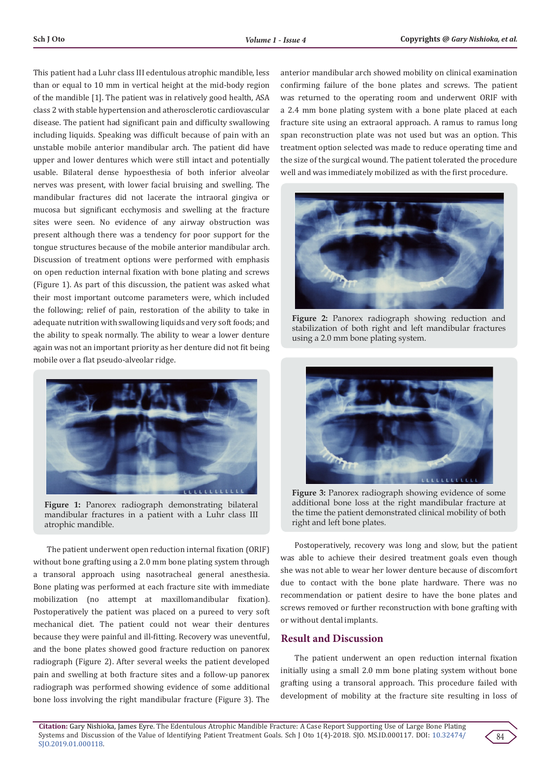This patient had a Luhr class III edentulous atrophic mandible, less than or equal to 10 mm in vertical height at the mid-body region of the mandible [1]. The patient was in relatively good health, ASA class 2 with stable hypertension and atherosclerotic cardiovascular disease. The patient had significant pain and difficulty swallowing including liquids. Speaking was difficult because of pain with an unstable mobile anterior mandibular arch. The patient did have upper and lower dentures which were still intact and potentially usable. Bilateral dense hypoesthesia of both inferior alveolar nerves was present, with lower facial bruising and swelling. The mandibular fractures did not lacerate the intraoral gingiva or mucosa but significant ecchymosis and swelling at the fracture sites were seen. No evidence of any airway obstruction was present although there was a tendency for poor support for the tongue structures because of the mobile anterior mandibular arch. Discussion of treatment options were performed with emphasis on open reduction internal fixation with bone plating and screws (Figure 1). As part of this discussion, the patient was asked what their most important outcome parameters were, which included the following; relief of pain, restoration of the ability to take in adequate nutrition with swallowing liquids and very soft foods; and the ability to speak normally. The ability to wear a lower denture again was not an important priority as her denture did not fit being mobile over a flat pseudo-alveolar ridge.



**Figure 1:** Panorex radiograph demonstrating bilateral mandibular fractures in a patient with a Luhr class III atrophic mandible.

The patient underwent open reduction internal fixation (ORIF) without bone grafting using a 2.0 mm bone plating system through a transoral approach using nasotracheal general anesthesia. Bone plating was performed at each fracture site with immediate mobilization (no attempt at maxillomandibular fixation). Postoperatively the patient was placed on a pureed to very soft mechanical diet. The patient could not wear their dentures because they were painful and ill-fitting. Recovery was uneventful, and the bone plates showed good fracture reduction on panorex radiograph (Figure 2). After several weeks the patient developed pain and swelling at both fracture sites and a follow-up panorex radiograph was performed showing evidence of some additional bone loss involving the right mandibular fracture (Figure 3). The

anterior mandibular arch showed mobility on clinical examination confirming failure of the bone plates and screws. The patient was returned to the operating room and underwent ORIF with a 2.4 mm bone plating system with a bone plate placed at each fracture site using an extraoral approach. A ramus to ramus long span reconstruction plate was not used but was an option. This treatment option selected was made to reduce operating time and the size of the surgical wound. The patient tolerated the procedure well and was immediately mobilized as with the first procedure.



**Figure 2:** Panorex radiograph showing reduction and stabilization of both right and left mandibular fractures using a 2.0 mm bone plating system.



**Figure 3:** Panorex radiograph showing evidence of some additional bone loss at the right mandibular fracture at the time the patient demonstrated clinical mobility of both right and left bone plates.

Postoperatively, recovery was long and slow, but the patient was able to achieve their desired treatment goals even though she was not able to wear her lower denture because of discomfort due to contact with the bone plate hardware. There was no recommendation or patient desire to have the bone plates and screws removed or further reconstruction with bone grafting with or without dental implants.

# **Result and Discussion**

The patient underwent an open reduction internal fixation initially using a small 2.0 mm bone plating system without bone grafting using a transoral approach. This procedure failed with development of mobility at the fracture site resulting in loss of